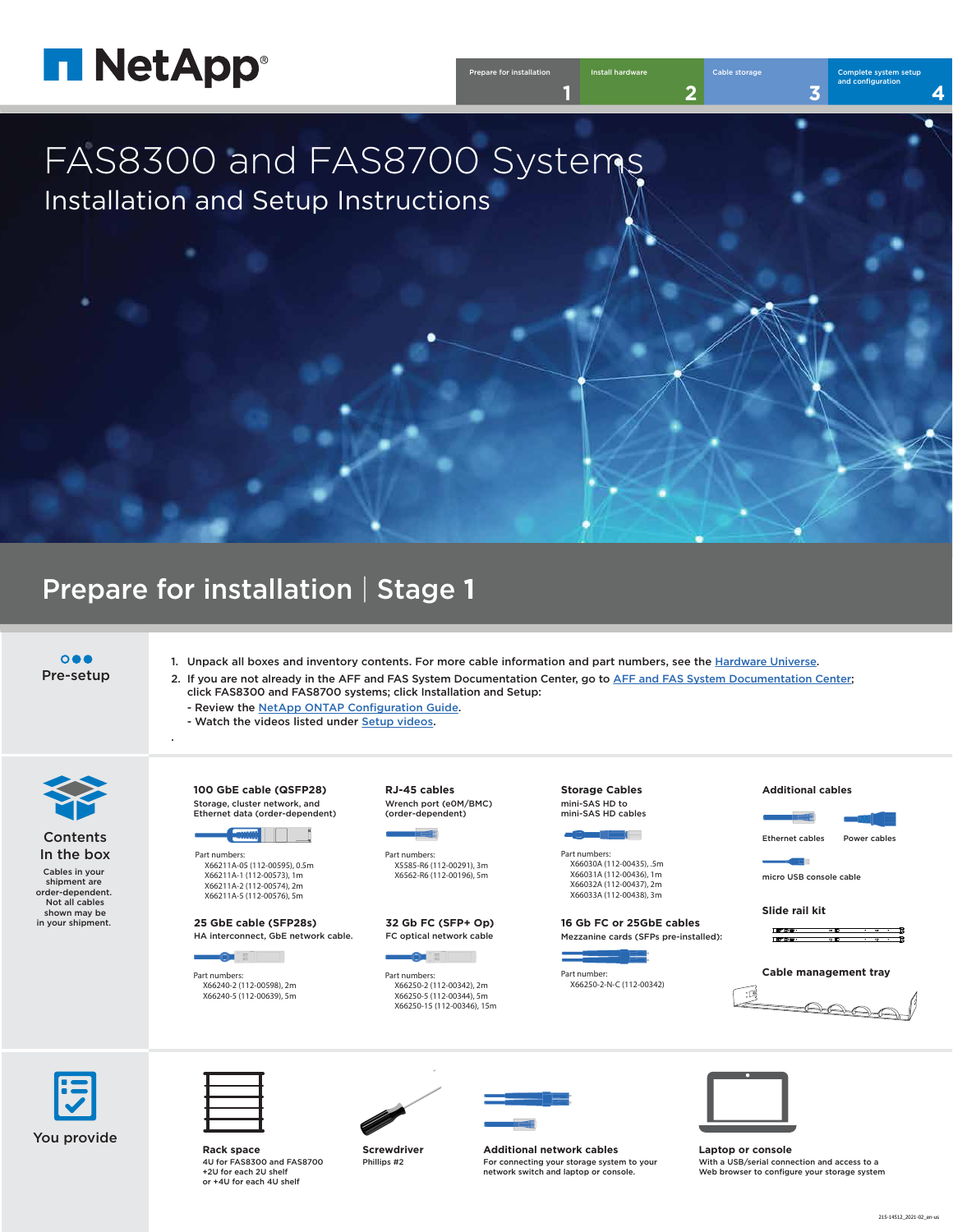

| <b>Prepare for installation</b> | Install hardware | Cable storage | Complete system setup<br>and configuration |
|---------------------------------|------------------|---------------|--------------------------------------------|
|                                 | <b>Security</b>  |               |                                            |

### **Contents** In the box

# FAS8300 and FAS8700 Systems Installation and Setup Instructions

 $\overline{\mathbf{O}} \bullet \mathbf{O}$ Pre-setup

## Prepare for installation | Stage **1**



You provide

Cables in your shipment are order-dependent. Not all cables shown may be in your shipment.

- 1. Unpack all boxes and inventory contents. For more cable information and part numbers, see the [Hardware Universe.](https://hwu.netapp.com)
- 2. If you are not already in the AFF and FAS System Documentation Center, go to [AFF and FAS System Documentation Center;](https://docs.netapp.com/platstor/index.jsp) click FAS8300 and FAS8700 systems; click Installation and Setup:

- Review th[e NetApp ONTAP Configuration Guide.](https://library.netapp.com/ecm/ecm_download_file/ECMLP2862613)

- Watch the videos listed under [Setup videos.](https://docs.netapp.com/platstor/topic/com.netapp.doc.hw-8300-install-setup/GUID-34F27C0B-4F98-48B2-B065-B78AB05BD1FD.html)



.



**Screwdriver** Phillips #2



**Laptop or console** With a USB/serial connection and access to a Web browser to configure your storage system



**Rack space** 4U for FAS8300 and FAS8700 +2U for each 2U shelf or +4U for each 4U shelf



**Additional network cables** For connecting your storage system to your network switch and laptop or console.

Part numbers: X5585-R6 (112-00291), 3m X6562-R6 (112-00196), 5m

**RJ-45 cables** Wrench port (e0M/BMC) (order-dependent)



**Storage Cables** mini-SAS HD to mini-SAS HD cables



Part numbers: X66211A-05 (112-00595), 0.5m X66211A-1 (112-00573), 1m X66211A-2 (112-00574), 2m X66211A-5 (112-00576), 5m

**100 GbE cable (QSFP28)**

Storage, cluster network, and Ethernet data (order-dependent)



Part numbers: X66030A (112-00435), .5m X66031A (112-00436), 1m X66032A (112-00437), 2m X66033A (112-00438), 3m

Part numbers: X66240-2 (112-00598), 2m X66240-5 (112-00639), 5m

**25 GbE cable (SFP28s)** HA interconnect, GbE network cable.



Part numbers: X66250-2 (112-00342), 2m X66250-5 (112-00344), 5m X66250-15 (112-00346), 15m

**32 Gb FC (SFP+ Op)** FC optical network cable



### **Additional cables**



Ethernet cables Power cables

 $\blacksquare$ 

micro USB console cable

### **Slide rail kit**

**Cable management tray**



**16 Gb FC or 25GbE cables**  Mezzanine cards (SFPs pre-installed):



Part number: X66250-2-N-C (112-00342)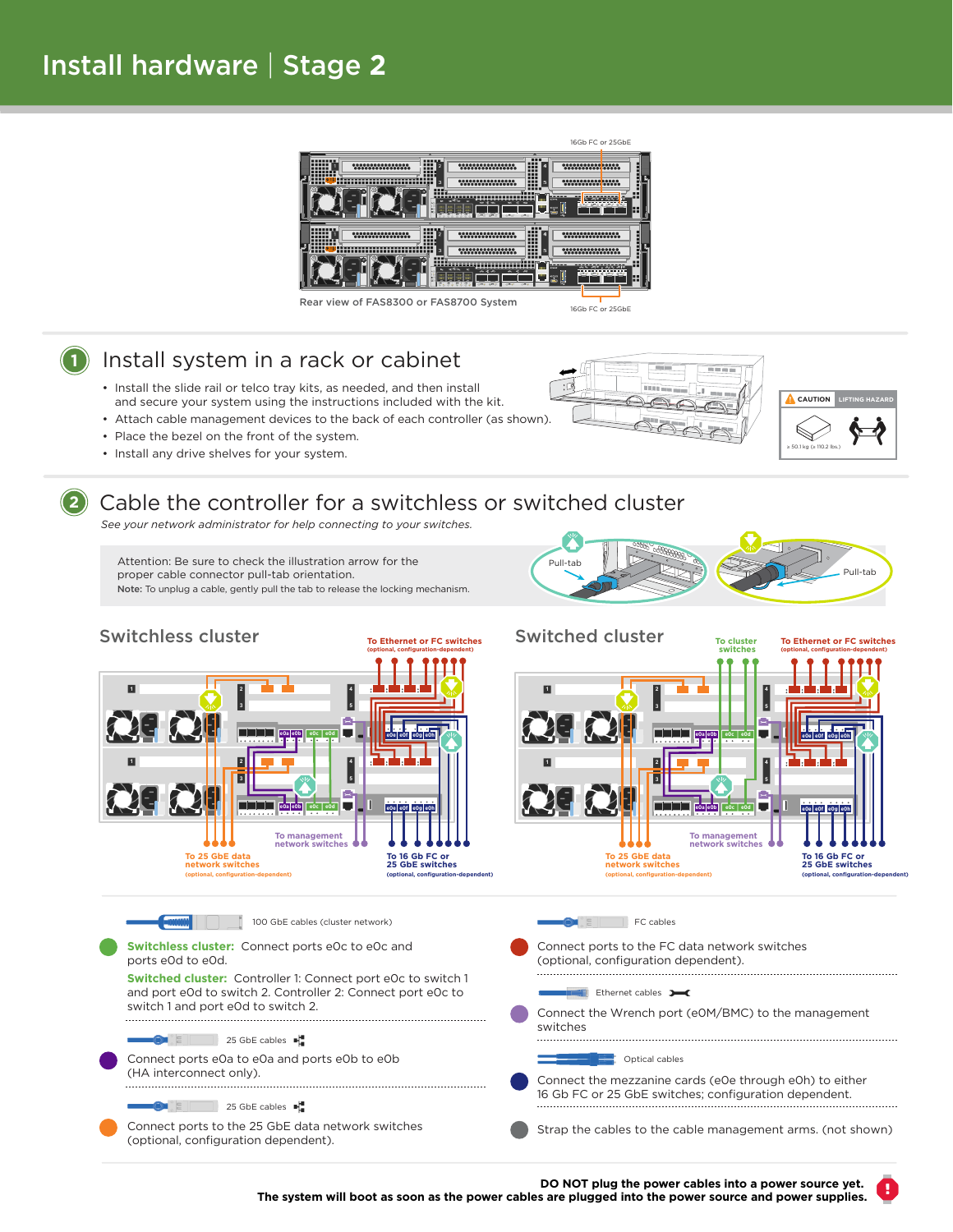# Install hardware | Stage **2**

- Install the slide rail or telco tray kits, as needed, and then install and secure your system using the instructions included with the kit.
- Attach cable management devices to the back of each controller (as shown).
- Place the bezel on the front of the system.
- Install any drive shelves for your system.



## **1** Install system in a rack or cabinet

Attention: Be sure to check the illustration arrow for the Pull-tab proper cable connector pull-tab orientation. Note: To unplug a cable, gently pull the tab to release the locking mechanism.

**2**



## Cable the controller for a switchless or switched cluster

*See your network administrator for help connecting to your switches.*







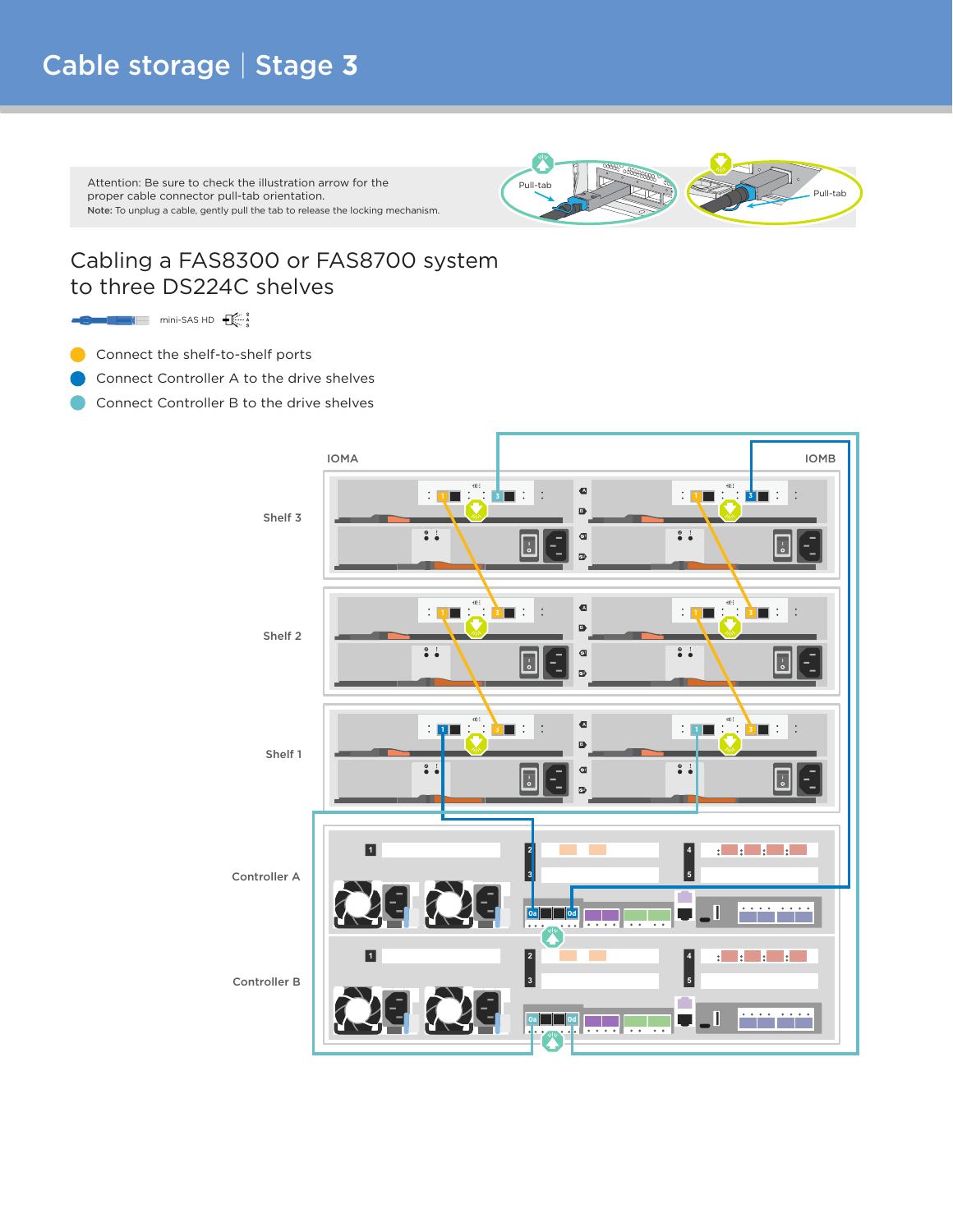# Cable storage | Stage **3**

### Cabling a FAS8300 or FAS8700 system to three DS224C shelves

 $\blacksquare$ mini-SAS HD $\bigoplus_{\alpha\in\mathbb{N}}\mathbb{Z}_\alpha$ 

- Connect the shelf-to-shelf ports
- Connect Controller A to the drive shelves
- Connect Controller B to the drive shelves



Attention: Be sure to check the illustration arrow for the Pull-tab proper cable connector pull-tab orientation. Note: To unplug a cable, gently pull the tab to release the locking mechanism.